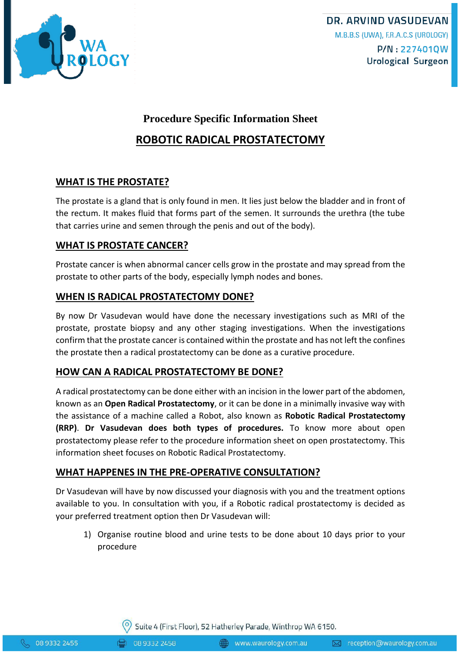

## **Procedure Specific Information Sheet**

# **ROBOTIC RADICAL PROSTATECTOMY**

### **WHAT IS THE PROSTATE?**

The prostate is a gland that is only found in men. It lies just below the bladder and in front of the rectum. It makes fluid that forms part of the semen. It surrounds the urethra (the tube that carries urine and semen through the penis and out of the body).

### **WHAT IS PROSTATE CANCER?**

Prostate cancer is when abnormal cancer cells grow in the prostate and may spread from the prostate to other parts of the body, especially lymph nodes and bones.

### **WHEN IS RADICAL PROSTATECTOMY DONE?**

By now Dr Vasudevan would have done the necessary investigations such as MRI of the prostate, prostate biopsy and any other staging investigations. When the investigations confirm that the prostate cancer is contained within the prostate and has not left the confines the prostate then a radical prostatectomy can be done as a curative procedure.

### **HOW CAN A RADICAL PROSTATECTOMY BE DONE?**

A radical prostatectomy can be done either with an incision in the lower part of the abdomen, known as an **Open Radical Prostatectomy**, or it can be done in a minimally invasive way with the assistance of a machine called a Robot, also known as **Robotic Radical Prostatectomy (RRP)**. **Dr Vasudevan does both types of procedures.** To know more about open prostatectomy please refer to the procedure information sheet on open prostatectomy. This information sheet focuses on Robotic Radical Prostatectomy.

### **WHAT HAPPENES IN THE PRE-OPERATIVE CONSULTATION?**

Dr Vasudevan will have by now discussed your diagnosis with you and the treatment options available to you. In consultation with you, if a Robotic radical prostatectomy is decided as your preferred treatment option then Dr Vasudevan will:

1) Organise routine blood and urine tests to be done about 10 days prior to your procedure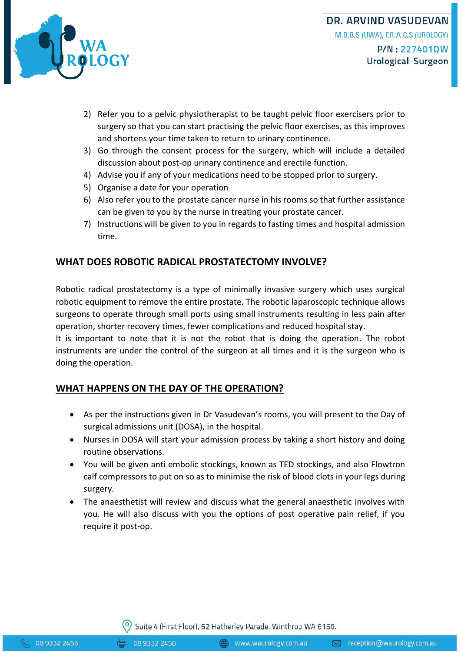

**DR. ARVIND VASUDEVAN** M.B.B.S (UWA), F.R.A.C.S (UROLOGY) P/N:227401QW Urological Surgeon

- 2) Refer you to a pelvic physiotherapist to be taught pelvic floor exercisers prior to surgery so that you can start practising the pelvic floor exercises, as this improves and shortens your time taken to return to urinary continence.
- 3) Go through the consent process for the surgery, which will include a detailed discussion about post-op urinary continence and erectile function.
- 4) Advise you if any of your medications need to be stopped prior to surgery.
- 5) Organise a date for your operation
- 6) Also refer you to the prostate cancer nurse in his rooms so that further assistance can be given to you by the nurse in treating your prostate cancer.
- 7) Instructions will be given to you in regards to fasting times and hospital admission time.

## **WHAT DOES ROBOTIC RADICAL PROSTATECTOMY INVOLVE?**

Robotic radical prostatectomy is a type of minimally invasive surgery which uses surgical robotic equipment to remove the entire prostate. The robotic laparoscopic technique allows surgeons to operate through small ports using small instruments resulting in less pain after operation, shorter recovery times, fewer complications and reduced hospital stay.

It is important to note that it is not the robot that is doing the operation. The robot instruments are under the control of the surgeon at all times and it is the surgeon who is doing the operation.

## **WHAT HAPPENS ON THE DAY OF THE OPERATION?**

- As per the instructions given in Dr Vasudevan's rooms, you will present to the Day of surgical admissions unit (DOSA), in the hospital.
- Nurses in DOSA will start your admission process by taking a short history and doing routine observations.
- You will be given anti embolic stockings, known as TED stockings, and also Flowtron calf compressors to put on so as to minimise the risk of blood clots in your legs during surgery.
- The anaesthetist will review and discuss what the general anaesthetic involves with you. He will also discuss with you the options of post operative pain relief, if you require it post-op.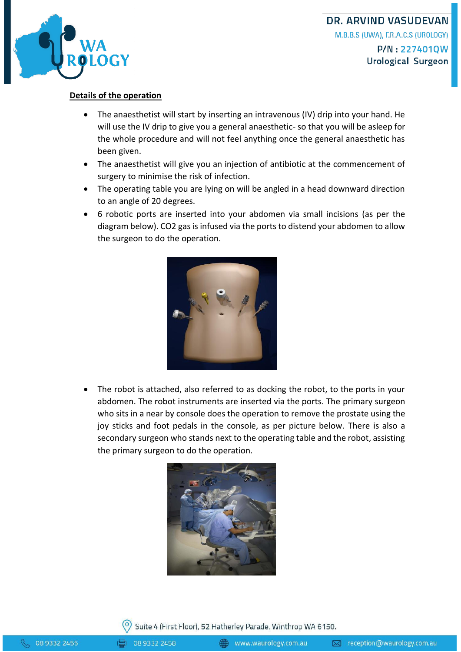

#### **Details of the operation**

- The anaesthetist will start by inserting an intravenous (IV) drip into your hand. He will use the IV drip to give you a general anaesthetic- so that you will be asleep for the whole procedure and will not feel anything once the general anaesthetic has been given.
- The anaesthetist will give you an injection of antibiotic at the commencement of surgery to minimise the risk of infection.
- The operating table you are lying on will be angled in a head downward direction to an angle of 20 degrees.
- 6 robotic ports are inserted into your abdomen via small incisions (as per the diagram below). CO2 gas is infused via the ports to distend your abdomen to allow the surgeon to do the operation.



 The robot is attached, also referred to as docking the robot, to the ports in your abdomen. The robot instruments are inserted via the ports. The primary surgeon who sits in a near by console does the operation to remove the prostate using the joy sticks and foot pedals in the console, as per picture below. There is also a secondary surgeon who stands next to the operating table and the robot, assisting the primary surgeon to do the operation.



Suite 4 (First Floor), 52 Hatherley Parade, Winthrop WA 6150.

08 9332 2458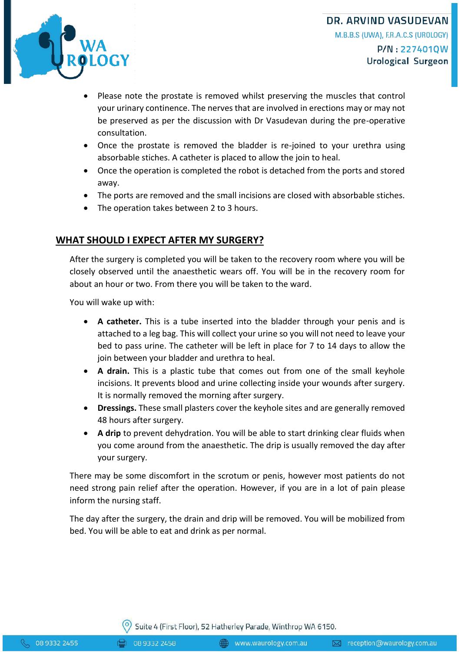



- Please note the prostate is removed whilst preserving the muscles that control your urinary continence. The nerves that are involved in erections may or may not be preserved as per the discussion with Dr Vasudevan during the pre-operative consultation.
- Once the prostate is removed the bladder is re-joined to your urethra using absorbable stiches. A catheter is placed to allow the join to heal.
- Once the operation is completed the robot is detached from the ports and stored away.
- The ports are removed and the small incisions are closed with absorbable stiches.
- The operation takes between 2 to 3 hours.

## **WHAT SHOULD I EXPECT AFTER MY SURGERY?**

After the surgery is completed you will be taken to the recovery room where you will be closely observed until the anaesthetic wears off. You will be in the recovery room for about an hour or two. From there you will be taken to the ward.

You will wake up with:

- **A catheter.** This is a tube inserted into the bladder through your penis and is attached to a leg bag. This will collect your urine so you will not need to leave your bed to pass urine. The catheter will be left in place for 7 to 14 days to allow the join between your bladder and urethra to heal.
- **A drain.** This is a plastic tube that comes out from one of the small keyhole incisions. It prevents blood and urine collecting inside your wounds after surgery. It is normally removed the morning after surgery.
- **Dressings.** These small plasters cover the keyhole sites and are generally removed 48 hours after surgery.
- **A drip** to prevent dehydration. You will be able to start drinking clear fluids when you come around from the anaesthetic. The drip is usually removed the day after your surgery.

There may be some discomfort in the scrotum or penis, however most patients do not need strong pain relief after the operation. However, if you are in a lot of pain please inform the nursing staff.

The day after the surgery, the drain and drip will be removed. You will be mobilized from bed. You will be able to eat and drink as per normal.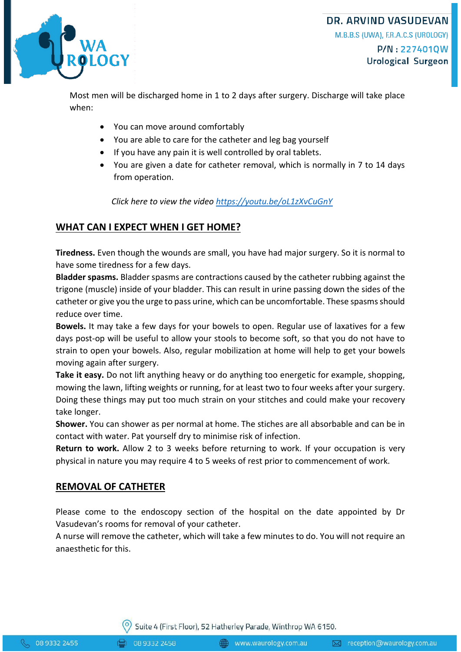

**DR. ARVIND VASUDEVAN** M.B.B.S (UWA), F.R.A.C.S (UROLOGY) P/N:227401QW Urological Surgeon

Most men will be discharged home in 1 to 2 days after surgery. Discharge will take place when:

- You can move around comfortably
- You are able to care for the catheter and leg bag yourself
- If you have any pain it is well controlled by oral tablets.
- You are given a date for catheter removal, which is normally in 7 to 14 days from operation.

*Click here to view the video <https://youtu.be/oL1zXvCuGnY>*

#### **WHAT CAN I EXPECT WHEN I GET HOME?**

**Tiredness.** Even though the wounds are small, you have had major surgery. So it is normal to have some tiredness for a few days.

**Bladder spasms.** Bladder spasms are contractions caused by the catheter rubbing against the trigone (muscle) inside of your bladder. This can result in urine passing down the sides of the catheter or give you the urge to pass urine, which can be uncomfortable. These spasms should reduce over time.

**Bowels.** It may take a few days for your bowels to open. Regular use of laxatives for a few days post-op will be useful to allow your stools to become soft, so that you do not have to strain to open your bowels. Also, regular mobilization at home will help to get your bowels moving again after surgery.

**Take it easy.** Do not lift anything heavy or do anything too energetic for example, shopping, mowing the lawn, lifting weights or running, for at least two to four weeks after your surgery. Doing these things may put too much strain on your stitches and could make your recovery take longer.

**Shower.** You can shower as per normal at home. The stiches are all absorbable and can be in contact with water. Pat yourself dry to minimise risk of infection.

**Return to work.** Allow 2 to 3 weeks before returning to work. If your occupation is very physical in nature you may require 4 to 5 weeks of rest prior to commencement of work.

#### **REMOVAL OF CATHETER**

Please come to the endoscopy section of the hospital on the date appointed by Dr Vasudevan's rooms for removal of your catheter.

A nurse will remove the catheter, which will take a few minutes to do. You will not require an anaesthetic for this.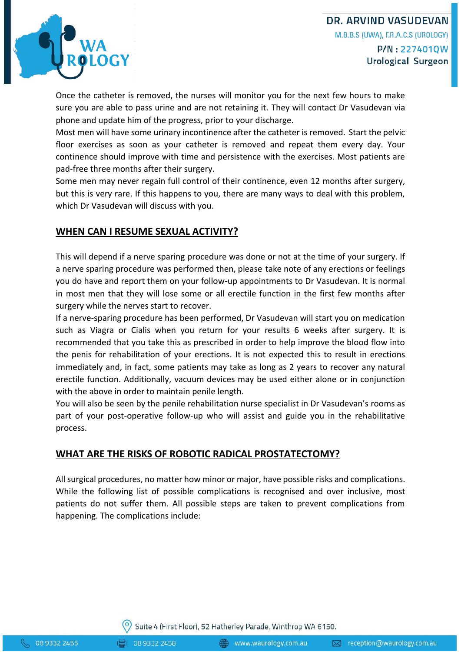## **DR. ARVIND VASUDEVAN** M.B.B.S (UWA), F.R.A.C.S (UROLOGY) P/N:227401QW Urological Surgeon



Once the catheter is removed, the nurses will monitor you for the next few hours to make sure you are able to pass urine and are not retaining it. They will contact Dr Vasudevan via phone and update him of the progress, prior to your discharge.

Most men will have some urinary incontinence after the catheter is removed. Start the pelvic floor exercises as soon as your catheter is removed and repeat them every day. Your continence should improve with time and persistence with the exercises. Most patients are pad-free three months after their surgery.

Some men may never regain full control of their continence, even 12 months after surgery, but this is very rare. If this happens to you, there are many ways to deal with this problem, which Dr Vasudevan will discuss with you.

### **WHEN CAN I RESUME SEXUAL ACTIVITY?**

This will depend if a nerve sparing procedure was done or not at the time of your surgery. If a nerve sparing procedure was performed then, please take note of any erections or feelings you do have and report them on your follow-up appointments to Dr Vasudevan. It is normal in most men that they will lose some or all erectile function in the first few months after surgery while the nerves start to recover.

If a nerve-sparing procedure has been performed, Dr Vasudevan will start you on medication such as Viagra or Cialis when you return for your results 6 weeks after surgery. It is recommended that you take this as prescribed in order to help improve the blood flow into the penis for rehabilitation of your erections. It is not expected this to result in erections immediately and, in fact, some patients may take as long as 2 years to recover any natural erectile function. Additionally, vacuum devices may be used either alone or in conjunction with the above in order to maintain penile length.

You will also be seen by the penile rehabilitation nurse specialist in Dr Vasudevan's rooms as part of your post-operative follow-up who will assist and guide you in the rehabilitative process.

## **WHAT ARE THE RISKS OF ROBOTIC RADICAL PROSTATECTOMY?**

All surgical procedures, no matter how minor or major, have possible risks and complications. While the following list of possible complications is recognised and over inclusive, most patients do not suffer them. All possible steps are taken to prevent complications from happening. The complications include: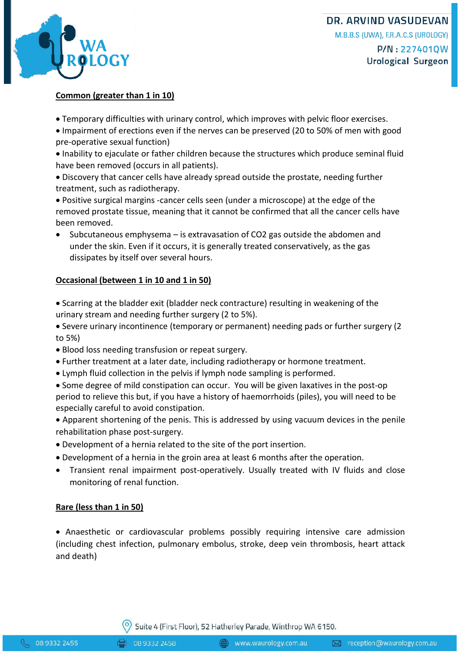

#### **Common (greater than 1 in 10)**

- Temporary difficulties with urinary control, which improves with pelvic floor exercises.
- Impairment of erections even if the nerves can be preserved (20 to 50% of men with good pre-operative sexual function)
- Inability to ejaculate or father children because the structures which produce seminal fluid have been removed (occurs in all patients).
- Discovery that cancer cells have already spread outside the prostate, needing further treatment, such as radiotherapy.
- Positive surgical margins -cancer cells seen (under a microscope) at the edge of the removed prostate tissue, meaning that it cannot be confirmed that all the cancer cells have been removed.
- Subcutaneous emphysema is extravasation of CO2 gas outside the abdomen and under the skin. Even if it occurs, it is generally treated conservatively, as the gas dissipates by itself over several hours.

#### **Occasional (between 1 in 10 and 1 in 50)**

- Scarring at the bladder exit (bladder neck contracture) resulting in weakening of the urinary stream and needing further surgery (2 to 5%).
- Severe urinary incontinence (temporary or permanent) needing pads or further surgery (2 to 5%)
- Blood loss needing transfusion or repeat surgery.
- Further treatment at a later date, including radiotherapy or hormone treatment.
- Lymph fluid collection in the pelvis if lymph node sampling is performed.
- Some degree of mild constipation can occur. You will be given laxatives in the post-op period to relieve this but, if you have a history of haemorrhoids (piles), you will need to be especially careful to avoid constipation.
- Apparent shortening of the penis. This is addressed by using vacuum devices in the penile rehabilitation phase post-surgery.
- Development of a hernia related to the site of the port insertion.
- Development of a hernia in the groin area at least 6 months after the operation.
- Transient renal impairment post-operatively. Usually treated with IV fluids and close monitoring of renal function.

#### **Rare (less than 1 in 50)**

 Anaesthetic or cardiovascular problems possibly requiring intensive care admission (including chest infection, pulmonary embolus, stroke, deep vein thrombosis, heart attack and death)